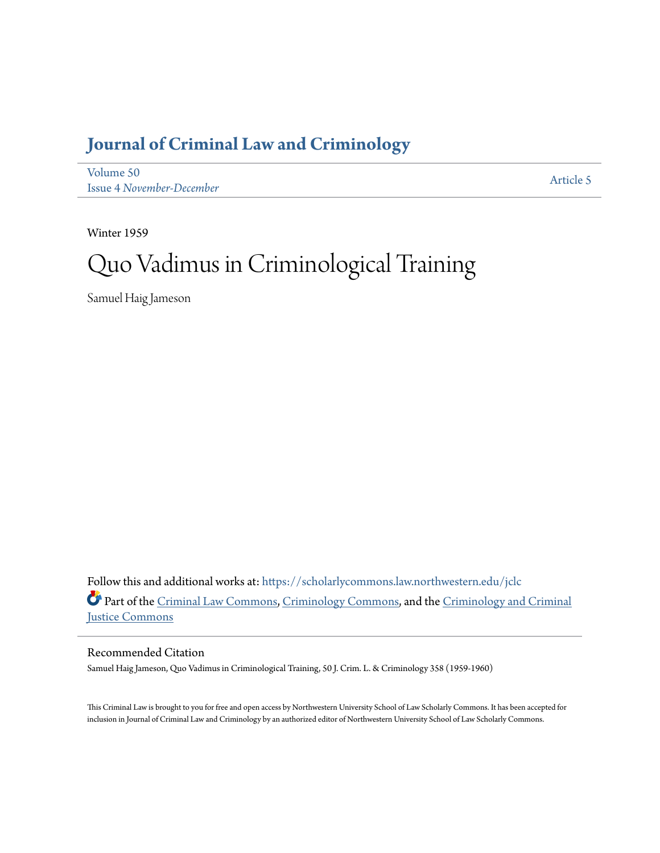## **[Journal of Criminal Law and Criminology](https://scholarlycommons.law.northwestern.edu/jclc?utm_source=scholarlycommons.law.northwestern.edu%2Fjclc%2Fvol50%2Fiss4%2F5&utm_medium=PDF&utm_campaign=PDFCoverPages)**

[Volume 50](https://scholarlycommons.law.northwestern.edu/jclc/vol50?utm_source=scholarlycommons.law.northwestern.edu%2Fjclc%2Fvol50%2Fiss4%2F5&utm_medium=PDF&utm_campaign=PDFCoverPages) Issue 4 *[November-December](https://scholarlycommons.law.northwestern.edu/jclc/vol50/iss4?utm_source=scholarlycommons.law.northwestern.edu%2Fjclc%2Fvol50%2Fiss4%2F5&utm_medium=PDF&utm_campaign=PDFCoverPages)*

[Article 5](https://scholarlycommons.law.northwestern.edu/jclc/vol50/iss4/5?utm_source=scholarlycommons.law.northwestern.edu%2Fjclc%2Fvol50%2Fiss4%2F5&utm_medium=PDF&utm_campaign=PDFCoverPages)

Winter 1959

# Quo Vadimus in Criminological Training

Samuel Haig Jameson

Follow this and additional works at: [https://scholarlycommons.law.northwestern.edu/jclc](https://scholarlycommons.law.northwestern.edu/jclc?utm_source=scholarlycommons.law.northwestern.edu%2Fjclc%2Fvol50%2Fiss4%2F5&utm_medium=PDF&utm_campaign=PDFCoverPages) Part of the [Criminal Law Commons](http://network.bepress.com/hgg/discipline/912?utm_source=scholarlycommons.law.northwestern.edu%2Fjclc%2Fvol50%2Fiss4%2F5&utm_medium=PDF&utm_campaign=PDFCoverPages), [Criminology Commons](http://network.bepress.com/hgg/discipline/417?utm_source=scholarlycommons.law.northwestern.edu%2Fjclc%2Fvol50%2Fiss4%2F5&utm_medium=PDF&utm_campaign=PDFCoverPages), and the [Criminology and Criminal](http://network.bepress.com/hgg/discipline/367?utm_source=scholarlycommons.law.northwestern.edu%2Fjclc%2Fvol50%2Fiss4%2F5&utm_medium=PDF&utm_campaign=PDFCoverPages) [Justice Commons](http://network.bepress.com/hgg/discipline/367?utm_source=scholarlycommons.law.northwestern.edu%2Fjclc%2Fvol50%2Fiss4%2F5&utm_medium=PDF&utm_campaign=PDFCoverPages)

Recommended Citation

Samuel Haig Jameson, Quo Vadimus in Criminological Training, 50 J. Crim. L. & Criminology 358 (1959-1960)

This Criminal Law is brought to you for free and open access by Northwestern University School of Law Scholarly Commons. It has been accepted for inclusion in Journal of Criminal Law and Criminology by an authorized editor of Northwestern University School of Law Scholarly Commons.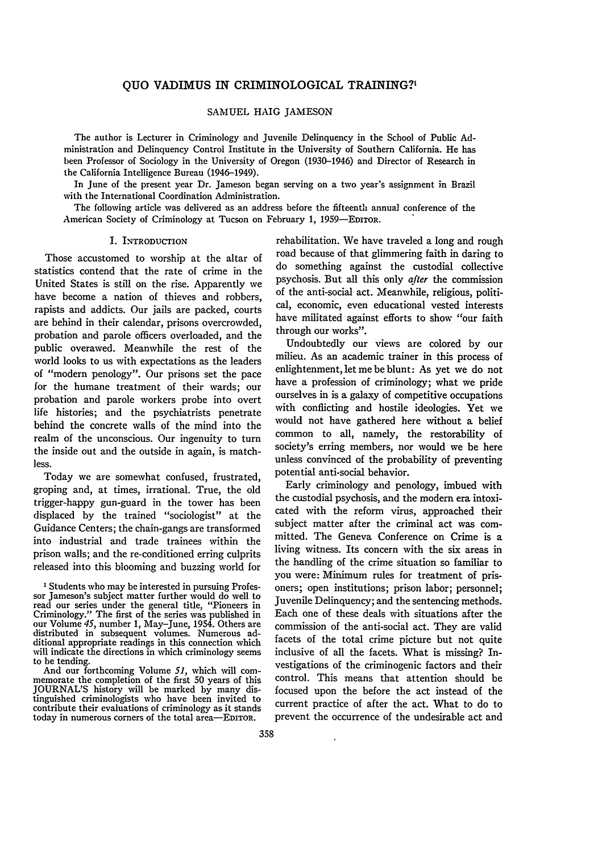#### **QUO VADIMUS IN CRIMINOLOGICAL TRAINING?<sup>1</sup>**

#### SAMUEL HAIG JAMESON

The author is Lecturer in Criminology and Juvenile Delinquency in the School of Public Administration and Delinquency Control Institute in the University of Southern California. He has been Professor of Sociology in the University of Oregon (1930-1946) and Director of Research in the California Intelligence Bureau (1946-1949).

In June of the present year Dr. Jameson began serving on a two year's assignment in Brazil with the International Coordination Administration.

The following article was delivered as an address before the fifteenth annual conference of the American Society of Criminology at Tucson on February 1, 1959-EDITOR.

#### **I. INTRODUCTION**

Those accustomed to worship at the altar of statistics contend that the rate of crime in the United States is still on the rise. Apparently we have become a nation of thieves and robbers, rapists and addicts. Our jails are packed, courts are behind in their calendar, prisons overcrowded, probation and parole officers overloaded, and the public overawed. Meanwhile the rest of the world looks to us with expectations as the leaders of "modern penology". Our prisons set the pace for the humane treatment of their wards; our probation and parole workers probe into overt life histories; and the psychiatrists penetrate behind the concrete walls of the mind into the realm of the unconscious. Our ingenuity to turn the inside out and the outside in again, is matchless.

Today we are somewhat confused, frustrated, groping and, at times, irrational. True, the old trigger-happy gun-guard in the tower has been displaced by the trained "sociologist" at the Guidance Centers; the chain-gangs are transformed into industrial and trade trainees within the prison walls; and the re-conditioned erring culprits released into this blooming and buzzing world for

<sup>I</sup>Students who may be interested in pursuing Professor Jameson's subject matter further would do well to read our series under the general title, "Pioneers in Criminology." The first of the series was published in our Volume 45, number **1,** May-June, 1954. Others are distributed in subsequent volumes. Numerous addistributed in subsequent volumes. Numerous additional appropriate readings in this connection which will indicate the directions in which criminology seems

to be tending.<br>And our forthcoming Volume 51, which will com-<br>memorate the completion of the first 50 years of this JOURNAL'S history will be marked by many distinguished criminologists who have been invited to contribute their evaluations of criminology as it stands today in numerous corners of the total area-EDITOR.

rehabilitation. We have traveled a long and rough road because of that glimmering faith in daring to do something against the custodial collective psychosis. But all this only after the commission of the anti-social act. Meanwhile, religious, political, economic, even educational vested interests have militated against efforts to show "our faith through our works".

Undoubtedly our views are colored by our milieu. As an academic trainer in this process of enlightenment, let me be blunt: As yet we do not have a profession of criminology; what we pride ourselves in is a galaxy of competitive occupations with conflicting and hostile ideologies. Yet we would not have gathered here without a belief common to all, namely, the restorability of society's erring members, nor would we be here unless convinced of the probability of preventing potential anti-social behavior.

Early criminology and penology, imbued with the custodial psychosis, and the modern era intoxicated with the reform virus, approached their subject matter after the criminal act was committed. The Geneva Conference on Crime is a living witness. Its concern with the six areas in the handling of the crime situation so familiar to you were: Minimum rules for treatment of prisoners; open institutions; prison labor; personnel; Juvenile Delinquency; and the sentencing methods. Each one of these deals with situations after the commission of the anti-social act. They are valid facets of the total crime picture but not quite inclusive of all the facets. What is missing? Investigations of the criminogenic factors and their control. This means that attention should be focused upon the before the act instead of the current practice of after the act. What to do to prevent the occurrence of the undesirable act and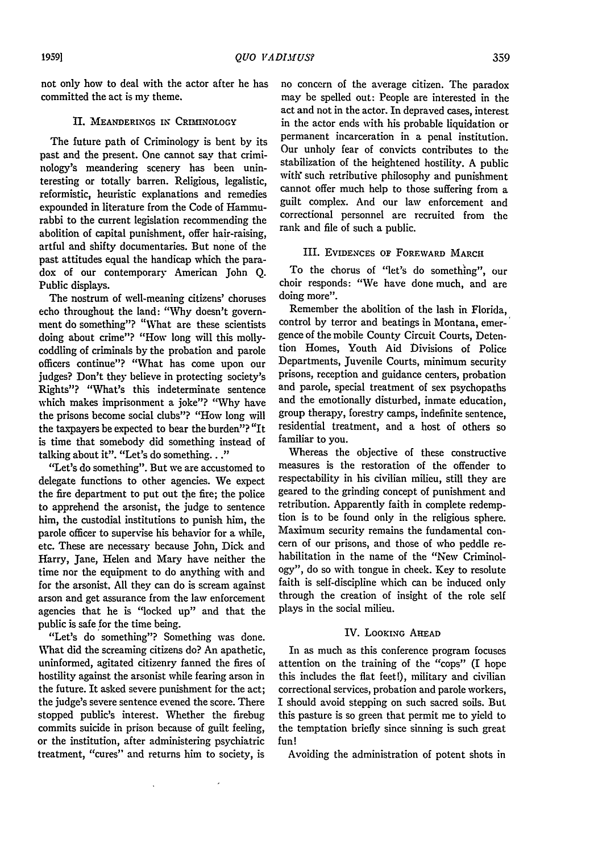not only how to deal with the actor after he has committed the act is my theme.

#### II. **MEANDERINGS IN** CRIMINOLOGY

The future path of Criminology is bent by its past and the present. One cannot say that criminology's meandering scenery has been uninteresting or totally barren. Religious, legalistic, reformistic, heuristic explanations and remedies expounded in literature from the Code of Hammurabbi to the current legislation recommending the abolition of capital punishment, offer hair-raising, artful and shifty documentaries. But none of the past attitudes equal the handicap which the paradox of our contemporary American John Q. Public displays.

The nostrum of well-meaning citizens' choruses echo throughout the land: "Why doesn't government do something"? "What are these scientists doing about crime"? "How long will this mollycoddling of criminals by the probation and parole officers continue"? "What has come upon our judges? Don't they believe in protecting society's Rights"? "What's this indeterminate sentence which makes imprisonment a joke"? "Why have the prisons become social clubs"? "How long will the taxpayers be expected to bear the burden"? "It is time that somebody did something instead of talking about it". "Let's do something..."

"Let's do something". But we are accustomed to delegate functions to other agencies. We expect the fire department to put out **the** fire; the police to apprehend the arsonist, the judge to sentence him, the custodial institutions to punish him, the parole officer to supervise his behavior for a while, etc. These are necessary because John, Dick and Harry, Jane, Helen and Mary have neither the time nor the equipment to do anything with and for the arsonist. **All** they can do is scream against arson and get assurance from the law enforcement agencies that he is "locked up" and that the public is safe for the time being.

"Let's do something"? Something was done. What did the screaming citizens do? An apathetic, uninformed, agitated citizenry fanned the fires of hostility against the arsonist while fearing arson in the future. It asked severe punishment for the act; the judge's severe sentence evened the score. There stopped public's interest. Whether the firebug commits suicide in prison because of guilt feeling, or the institution, after administering psychiatric treatment, "cures" and returns him to society, is

no concern of the average citizen. The paradox may be spelled out: People are interested in the act and not in the actor. In depraved cases, interest in the actor ends with his probable liquidation or permanent incarceration in a penal institution. Our unholy fear of convicts contributes to the stabilization of the heightened hostility. A public with' such retributive philosophy and punishment cannot offer much help to those suffering from a guilt complex. And our law enforcement and correctional personnel are recruited from the rank and file of such a public.

#### III. EVIDENCES OF FOREWARD MARCH

To the chorus of "let's do something", our choir responds: "We have done much, and are doing more".

Remember the abolition of the lash in Florida, control **by** terror and beatings in Montana, emergence of the mobile County Circuit Courts, Detention Homes, Youth Aid Divisions of Police Departments, Juvenile Courts, minimum security prisons, reception and guidance centers, probation and parole, special treatment of sex psychopaths and the emotionally disturbed, inmate education, group therapy, forestry camps, indefinite sentence, residential treatment, and a host of others so familiar to you.

Whereas the objective of these constructive measures is the restoration of the offender to respectability in his civilian milieu, still they are geared to the grinding concept of punishment and retribution. Apparently faith in complete redemption is to be found only in the religious sphere. Maximum security remains the fundamental concern of our prisons, and those of who peddle rehabilitation in the name of the "New Criminology", do so with tongue in cheek. **Key** to resolute faith is self-discipline which can **be** induced only through the creation of insight of the role self plays in the social milieu.

#### IV. LOOKING **AHEAD**

In as much as this conference program focuses attention on the training of the "cops" **(I** hope this includes the flat feet!), military and civilian correctional services, probation and parole workers, I should avoid stepping on such sacred soils. But this pasture is so green that permit me to yield to the temptation briefly since sinning is such great fun!

Avoiding the administration of potent shots in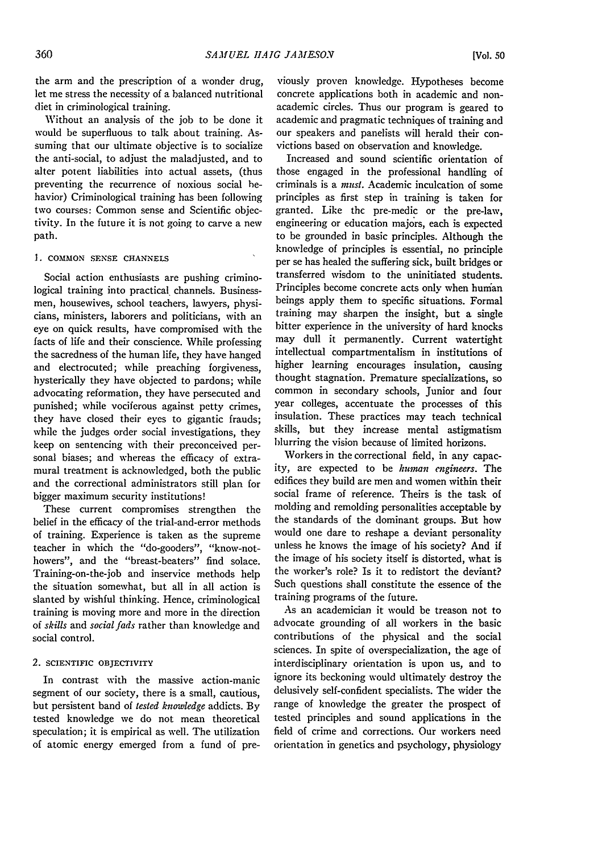the arm and the prescription of a wonder drug, let me stress the necessity of a balanced nutritional diet in criminological training.

Without an analysis of the job to be done it would be superfluous to talk about training. Assuming that our ultimate objective is to socialize the anti-social, to adjust the maladjusted, and to alter potent liabilities into actual assets, (thus preventing the recurrence of noxious social behavior) Criminological training has been following two courses: Common sense and Scientific objectivity. In the future it is not going to carve a new path.

#### **1.** COMMON **SENSE** CHANNELS

Social action enthusiasts are pushing criminological training into practical channels. Businessmen, housewives, school teachers, lawyers, physicians, ministers, laborers and politicians, with an eye on quick results, have compromised with the facts of life and their conscience. While professing the sacredness of the human life, they have hanged and electrocuted; while preaching forgiveness, hysterically they have objected to pardons; while advocating reformation, they have persecuted and punished; while vociferous against petty crimes, they have closed their eyes to gigantic frauds; while the judges order social investigations, they keep on sentencing with their preconceived personal biases; and whereas the efficacy of extramural treatment is acknowledged, both the public and the correctional administrators still plan for bigger maximum security institutions!

These current compromises strengthen the belief in the efficacy of the trial-and-error methods of training. Experience is taken as the supreme teacher in which the "do-gooders", "know-nothowers", and the "breast-beaters" find solace. Training-on-the-job and inservice methods help the situation somewhat, but all in all action is slanted by wishful thinking. Hence, criminological training is moving more and more in the direction of *skills* and *social fads* rather than knowledge and social control.

#### 2. SCIENTIFIC OBJECTIVITY

In contrast with the massive action-manic segment of our society, there is a small, cautious, but persistent band of *tested knowledge* addicts. By tested knowledge we do not mean theoretical speculation; it is empirical as well. The utilization of atomic energy emerged from a fund of pre-

viously proven knowledge. Hypotheses become concrete applications both in academic and nonacademic circles. Thus our program is geared to academic and pragmatic techniques of training and our speakers and panelists will herald their convictions based on observation and knowledge.

Increased and sound scientific orientation of those engaged in the professional handling of criminals is a *must.* Academic inculcation of some principles as first step in training is taken for granted. Like the pre-medic or the pre-law, engineering or education majors, each is expected to be grounded in basic principles. Although the knowledge of principles is essential, no principle per se has healed the suffering sick, built bridges or transferred wisdom to the uninitiated students. Principles become concrete acts only when human beings apply them to specific situations. Formal training may sharpen the insight, but a single bitter experience in the university of hard knocks may dull it permanently. Current watertight intellectual compartmentalism in institutions of higher learning encourages insulation, causing thought stagnation. Premature specializations, so common in secondary schools, Junior and four year colleges, accentuate the processes of this insulation. These practices may teach technical skills, but they increase mental astigmatism blurring the vision because of limited horizons.

Workers in the correctional field, in any capacity, are expected to be *human engineers.* The edifices they build are men and women within their social frame of reference. Theirs is the task of molding and remolding personalities acceptable by the standards of the dominant groups. But how would one dare to reshape a deviant personality unless he knows the image of his society? And if the image of his society itself is distorted, what is the worker's role? Is it to redistort the deviant? Such questions shall constitute the essence of the training programs of the future.

As an academician it would be treason not to advocate grounding of all workers in the basic contributions of the physical and the social sciences. In spite of overspecialization, the age of interdisciplinary orientation is upon us, and to ignore its beckoning would ultimately destroy the delusively self-confident specialists. The wider the range of knowledge the greater the prospect of tested principles and sound applications in the field of crime and corrections. Our workers need orientation in genetics and psychology, physiology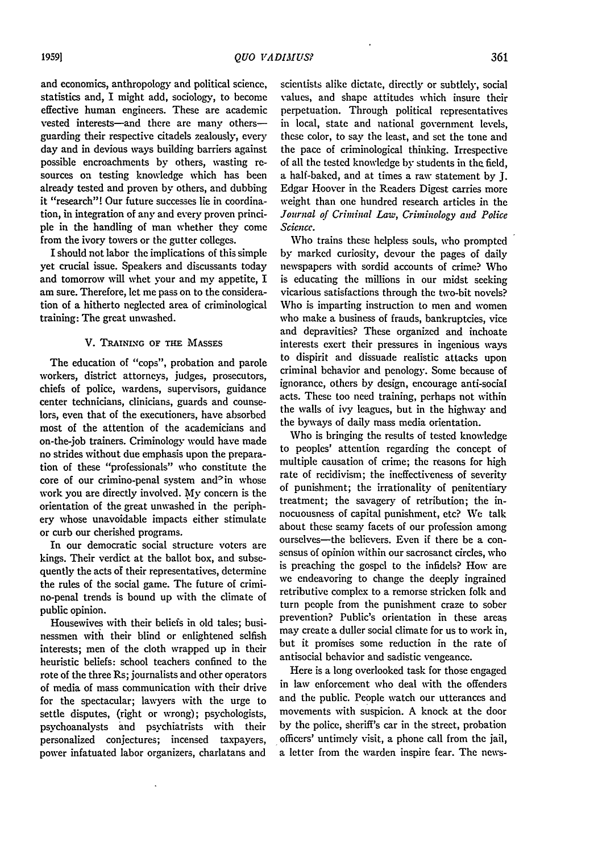and economics, anthropology and political science, statistics and, I might add, sociology, to become effective human engineers. These are academic vested interests-and there are many othersguarding their respective citadels zealously, every day and in devious ways building barriers against possible encroachments by others, wasting resources on testing knowledge which has been already tested and proven by others, and dubbing it "research"! Our future successes lie in coordination, in integration of any and every proven principle in the handling of man whether they come from the ivory towers or the gutter colleges.

I should not labor the implications of this simple yet crucial issue. Speakers and discussants today and tomorrow will whet your and my appetite, I am sure. Therefore, let me pass on to the consideration of a hitherto neglected area of criminological training: The great unwashed.

#### V. **TRAINING** OF THE **MASSES**

The education of "cops", probation and parole workers, district attorneys, judges, prosecutors, chiefs of police, wardens, supervisors, guidance center technicians, clinicians, guards and counselors, even that of the executioners, have absorbed most of the attention of the academicians and on-the-job trainers. Criminology would have made no strides without due emphasis upon the preparation of these "professionals" who constitute the core of our crimino-penal system and<sup>2</sup> in whose work you are directly involved. **My** concern is the orientation of the great unwashed in the periphery whose unavoidable impacts either stimulate or curb our cherished programs.

In our democratic social structure voters are kings. Their verdict at the ballot box, and subsequently the acts of their representatives, determine the rules of the social game. The future of crimino-penal trends is bound up with the climate of public opinion.

Housewives with their beliefs in old tales; businessmen with their blind or enlightened selfish interests; men of the cloth wrapped up in their heuristic beliefs: school teachers confined to the rote of the three Rs; journalists and other operators of media of mass communication with their drive for the spectacular; lawyers with the urge to settle disputes, (right or wrong); psychologists, psychoanalysts and psychiatrists with their personalized conjectures; incensed taxpayers, power infatuated labor organizers, charlatans and

scientists alike dictate, directly or subtlely, social values, and shape attitudes which insure their perpetuation. Through political representatives in local, state and national government levels, these color, to say the least, and set the tone and the pace of criminological thinking. Irrespective of all the tested knowledge by students in the **field,** a half-baked, and at times a raw statement **by J.** Edgar Hoover in the Readers Digest carries more weight than one hundred research articles in the *Journal of Criminal Law, Criminology and Police Science.*

Who trains these helpless souls, who prompted by marked curiosity, devour the pages of daily newspapers with sordid accounts of crime? Who is educating the millions in our midst seeking vicarious satisfactions through the two-bit novels? Who is imparting instruction to men and women who make a business of frauds, bankruptcies, vice and depravities? These organized and inchoate interests exert their pressures in ingenious ways to dispirit and dissuade realistic attacks upon criminal behavior and penology. Some because of ignorance, others by design, encourage anti-social acts. These too need training, perhaps not within the walls of ivy leagues, but in the highway and the byways of daily mass media orientation.

Who is bringing the results of tested knowledge to peoples' attention regarding the concept of multiple causation of crime; the reasons for high rate of recidivism; the ineffectiveness of severity of punishment; the irrationality of penitentiary treatment; the savagery of retribution; the innocuousness of capital punishment, etc? We talk about these seamy facets of our profession among ourselves-the believers. Even if there be a consensus of opinion within our sacrosanct circles, who is preaching the gospel to the infidels? How are we endeavoring to change the deeply ingrained retributive complex to a remorse stricken folk and turn people from the punishment craze to sober prevention? Public's orientation in these areas may create a duller social climate for us to work in, but it promises some reduction in the rate of antisocial behavior and sadistic vengeance.

Here is a long overlooked task for those engaged in law enforcement who deal with the offenders and the public. People watch our utterances and movements with suspicion. A knock at the door by the police, sheriff's car in the street, probation officers' untimely visit, a phone call from the jail, a letter from the warden inspire fear. The news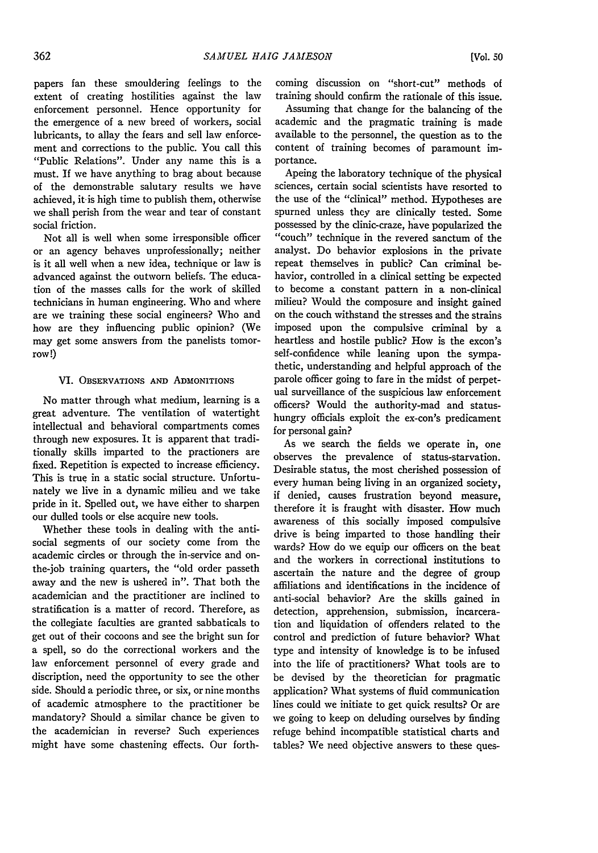papers fan these smouldering feelings to the extent of creating hostilities against the law enforcement personnel. Hence opportunity for the emergence of a new breed of workers, social lubricants, to allay the fears and sell law enforcement and corrections to the public. You call this "Public Relations". Under any name this is a must. If we have anything to brag about because of the demonstrable salutary results we have achieved, it-is high time to publish them, otherwise we shall perish from the wear and tear of constant social friction.

Not all is well when some irresponsible officer or an agency behaves unprofessionally; neither is it all well when a new idea, technique or law is advanced against the outworn beliefs. The education of the masses calls for the work of skilled technicians in human engineering. Who and where are we training these social engineers? Who and how are they influencing public opinion? (We may get some answers from the panelists tomorrow!)

#### VI. **OBSERVATIONS AND ADMONITIONS**

No matter through what medium, learning is a great adventure. The ventilation of watertight intellectual and behavioral compartments comes through new exposures. It is apparent that traditionally skills imparted to the practioners are fixed. Repetition is expected to increase efficiency. This is true in a static social structure. Unfortunately we live in a dynamic milieu and we take pride in it. Spelled out, we have either to sharpen our dulled tools or else acquire new tools.

Whether these tools in dealing with the antisocial segments of our society come from the academic circles or through the in-service and onthe-job training quarters, the "old order passeth away and the new is ushered in". That both the academician and the practitioner are inclined to stratification is a matter of record. Therefore, as the collegiate faculties are granted sabbaticals to get out of their cocoons and see the bright sun for a spell, so do the correctional workers and the law enforcement personnel of every grade and discription, need the opportunity to see the other side. Should a periodic three, or six, or nine months of academic atmosphere to the practitioner be mandatory? Should a similar chance be given to the academician in reverse? Such experiences might have some chastening effects. Our forthcoming discussion on "short-cut" methods of training should confirm the rationale of this issue.

Assuming that change for the balancing of the academic and the pragmatic training is made available to the personnel, the question as to the content of training becomes of paramount importance.

Apeing the laboratory technique of the physical sciences, certain social scientists have resorted to the use of the "clinical" method. Hypotheses are spurned unless they are clinically tested. Some possessed by the clinic-craze, have popularized the "couch" technique in the revered sanctum of the analyst. Do behavior explosions in the private repeat themselves in public? Can criminal behavior, controlled in a clinical setting be expected to become a constant pattern in a non-clinical milieu? Would the composure and insight gained on the couch withstand the stresses and the strains imposed upon the compulsive criminal by a heartless and hostile public? How is the excon's self-confidence while leaning upon the sympathetic, understanding and helpful approach of the parole officer going to fare in the midst of perpetual surveillance of the suspicious law enforcement officers? Would the authority-mad and statushungry officials exploit the ex-con's predicament for personal gain?

As we search the fields we operate in, one observes the prevalence of status-starvation. Desirable status, the most cherished possession of every human being living in an organized society, if denied, causes frustration beyond measure, therefore it is fraught with disaster. How much awareness of this socially imposed compulsive drive is being imparted to those handling their wards? How do we equip our officers on the beat and the workers in correctional institutions to ascertain the nature and the degree of group affiliations and identifications in the incidence of anti-social behavior? Are the skills gained in detection, apprehension, submission, incarceration and liquidation of offenders related to the control and prediction of future behavior? What type and intensity of knowledge is to be infused into the life of practitioners? What tools are to be devised by the theoretician for pragmatic application? What systems of fluid communication lines could we initiate to get quick results? Or are we going to keep on deluding ourselves by finding refuge behind incompatible statistical charts and tables? We need objective answers to these ques